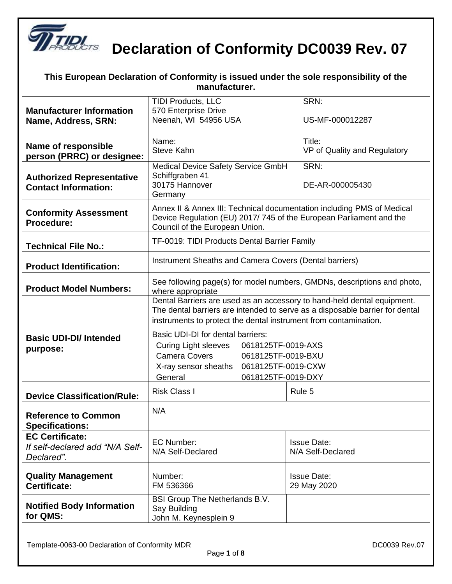

**DECO Declaration of Conformity DC0039 Rev. 07** 

|                                                                         | This European Declaration of Conformity is issued under the sole responsibility of the<br>manufacturer.                                                                                                                                                          |                                        |  |
|-------------------------------------------------------------------------|------------------------------------------------------------------------------------------------------------------------------------------------------------------------------------------------------------------------------------------------------------------|----------------------------------------|--|
| <b>Manufacturer Information</b><br>Name, Address, SRN:                  | TIDI Products, LLC<br>SRN:<br>570 Enterprise Drive<br>Neenah, WI 54956 USA<br>US-MF-000012287                                                                                                                                                                    |                                        |  |
| Name of responsible<br>person (PRRC) or designee:                       | Name:<br><b>Steve Kahn</b>                                                                                                                                                                                                                                       | Title:<br>VP of Quality and Regulatory |  |
| <b>Authorized Representative</b><br><b>Contact Information:</b>         | SRN:<br>Medical Device Safety Service GmbH<br>Schiffgraben 41<br>30175 Hannover<br>DE-AR-000005430<br>Germany                                                                                                                                                    |                                        |  |
| <b>Conformity Assessment</b><br>Procedure:                              | Annex II & Annex III: Technical documentation including PMS of Medical<br>Device Regulation (EU) 2017/745 of the European Parliament and the<br>Council of the European Union.                                                                                   |                                        |  |
| <b>Technical File No.:</b>                                              | TF-0019: TIDI Products Dental Barrier Family                                                                                                                                                                                                                     |                                        |  |
| <b>Product Identification:</b>                                          | Instrument Sheaths and Camera Covers (Dental barriers)                                                                                                                                                                                                           |                                        |  |
| <b>Product Model Numbers:</b>                                           | See following page(s) for model numbers, GMDNs, descriptions and photo,<br>where appropriate                                                                                                                                                                     |                                        |  |
| <b>Basic UDI-DI/ Intended</b>                                           | Dental Barriers are used as an accessory to hand-held dental equipment.<br>The dental barriers are intended to serve as a disposable barrier for dental<br>instruments to protect the dental instrument from contamination.<br>Basic UDI-DI for dental barriers: |                                        |  |
| purpose:                                                                | <b>Curing Light sleeves</b><br>0618125TF-0019-AXS<br><b>Camera Covers</b><br>0618125TF-0019-BXU<br>0618125TF-0019-CXW<br>X-ray sensor sheaths<br>General<br>0618125TF-0019-DXY                                                                                   |                                        |  |
| <b>Device Classification/Rule:</b>                                      | <b>Risk Class I</b>                                                                                                                                                                                                                                              | Rule 5                                 |  |
| <b>Reference to Common</b><br><b>Specifications:</b>                    | N/A                                                                                                                                                                                                                                                              |                                        |  |
| <b>EC Certificate:</b><br>If self-declared add "N/A Self-<br>Declared". | <b>EC Number:</b><br><b>Issue Date:</b><br>N/A Self-Declared<br>N/A Self-Declared                                                                                                                                                                                |                                        |  |
| <b>Quality Management</b><br>Certificate:                               | Number:<br>FM 536366                                                                                                                                                                                                                                             | <b>Issue Date:</b><br>29 May 2020      |  |
| <b>Notified Body Information</b><br>for QMS:                            | BSI Group The Netherlands B.V.<br>Say Building<br>John M. Keynesplein 9                                                                                                                                                                                          |                                        |  |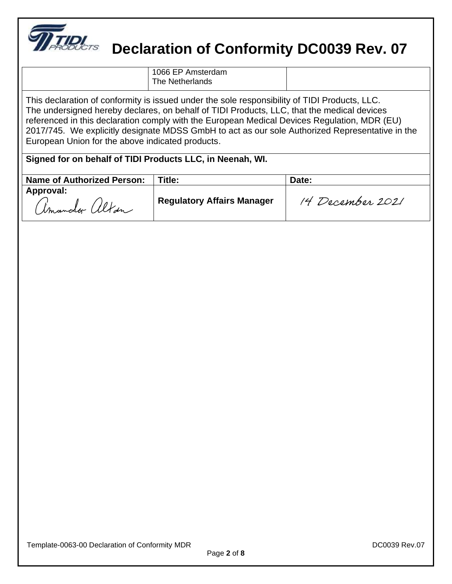

#### **Declaration of Conformity DC0039 Rev. 07**

| 1066 EP Amsterdam<br>The Netherlands |  |
|--------------------------------------|--|

This declaration of conformity is issued under the sole responsibility of TIDI Products, LLC. The undersigned hereby declares, on behalf of TIDI Products, LLC, that the medical devices referenced in this declaration comply with the European Medical Devices Regulation, MDR (EU) 2017/745. We explicitly designate MDSS GmbH to act as our sole Authorized Representative in the European Union for the above indicated products.

**Signed for on behalf of TIDI Products LLC, in Neenah, WI.**

| <b>Name of Authorized Person:</b> | Title:                            | Date:            |
|-----------------------------------|-----------------------------------|------------------|
| Approval:<br>Cimandor altan       | <b>Regulatory Affairs Manager</b> | 14 December 2021 |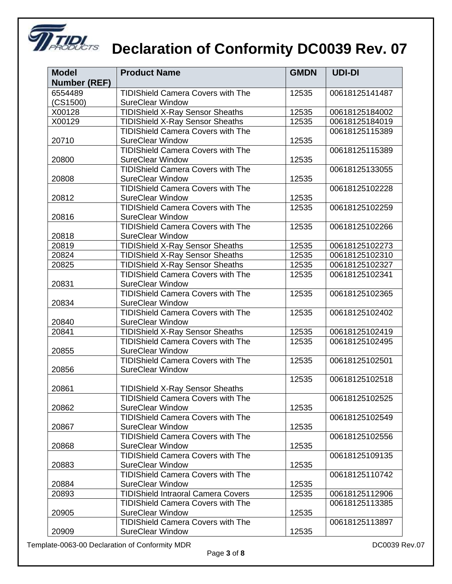

# **THE REVERTS** Declaration of Conformity DC0039 Rev. 07

| <b>Model</b>        | <b>Product Name</b>                       | <b>GMDN</b> | <b>UDI-DI</b>  |
|---------------------|-------------------------------------------|-------------|----------------|
| <b>Number (REF)</b> |                                           |             |                |
| 6554489             | <b>TIDIShield Camera Covers with The</b>  | 12535       | 00618125141487 |
| (CS1500)            | <b>SureClear Window</b>                   |             |                |
| X00128              | <b>TIDIShield X-Ray Sensor Sheaths</b>    | 12535       | 00618125184002 |
| X00129              | <b>TIDIShield X-Ray Sensor Sheaths</b>    | 12535       | 00618125184019 |
|                     | <b>TIDIShield Camera Covers with The</b>  |             | 00618125115389 |
| 20710               | <b>SureClear Window</b>                   | 12535       |                |
|                     | <b>TIDIShield Camera Covers with The</b>  |             | 00618125115389 |
| 20800               | <b>SureClear Window</b>                   | 12535       |                |
|                     | <b>TIDIShield Camera Covers with The</b>  |             | 00618125133055 |
| 20808               | <b>SureClear Window</b>                   | 12535       |                |
|                     | <b>TIDIShield Camera Covers with The</b>  |             | 00618125102228 |
| 20812               | <b>SureClear Window</b>                   | 12535       |                |
|                     | <b>TIDIShield Camera Covers with The</b>  | 12535       | 00618125102259 |
| 20816               | <b>SureClear Window</b>                   |             |                |
|                     | <b>TIDIShield Camera Covers with The</b>  | 12535       | 00618125102266 |
| 20818               | <b>SureClear Window</b>                   |             |                |
| 20819               | <b>TIDIShield X-Ray Sensor Sheaths</b>    | 12535       | 00618125102273 |
| 20824               | <b>TIDIShield X-Ray Sensor Sheaths</b>    | 12535       | 00618125102310 |
| 20825               | <b>TIDIShield X-Ray Sensor Sheaths</b>    | 12535       | 00618125102327 |
|                     | <b>TIDIShield Camera Covers with The</b>  | 12535       | 00618125102341 |
| 20831               | <b>SureClear Window</b>                   |             |                |
|                     | <b>TIDIShield Camera Covers with The</b>  | 12535       | 00618125102365 |
| 20834               | <b>SureClear Window</b>                   |             |                |
|                     | <b>TIDIShield Camera Covers with The</b>  | 12535       | 00618125102402 |
| 20840               | <b>SureClear Window</b>                   |             |                |
| 20841               | <b>TIDIShield X-Ray Sensor Sheaths</b>    | 12535       | 00618125102419 |
|                     | <b>TIDIShield Camera Covers with The</b>  | 12535       | 00618125102495 |
| 20855               | <b>SureClear Window</b>                   |             |                |
| 20856               | <b>TIDIShield Camera Covers with The</b>  | 12535       | 00618125102501 |
|                     | <b>SureClear Window</b>                   |             |                |
| 20861               | <b>TIDIShield X-Ray Sensor Sheaths</b>    | 12535       | 00618125102518 |
|                     | <b>TIDIShield Camera Covers with The</b>  |             | 00618125102525 |
| 20862               | <b>SureClear Window</b>                   | 12535       |                |
|                     | <b>TIDIShield Camera Covers with The</b>  |             | 00618125102549 |
| 20867               | <b>SureClear Window</b>                   | 12535       |                |
|                     | <b>TIDIShield Camera Covers with The</b>  |             | 00618125102556 |
| 20868               | <b>SureClear Window</b>                   | 12535       |                |
|                     | <b>TIDIShield Camera Covers with The</b>  |             | 00618125109135 |
| 20883               | <b>SureClear Window</b>                   | 12535       |                |
|                     | <b>TIDIShield Camera Covers with The</b>  |             | 00618125110742 |
| 20884               | <b>SureClear Window</b>                   | 12535       |                |
| 20893               | <b>TIDIShield Intraoral Camera Covers</b> | 12535       | 00618125112906 |
|                     | <b>TIDIShield Camera Covers with The</b>  |             | 00618125113385 |
| 20905               | <b>SureClear Window</b>                   | 12535       |                |
|                     | <b>TIDIShield Camera Covers with The</b>  |             | 00618125113897 |
| 20909               | <b>SureClear Window</b>                   | 12535       |                |

Template-0063-00 Declaration of Conformity MDR deviation of Conformity MDR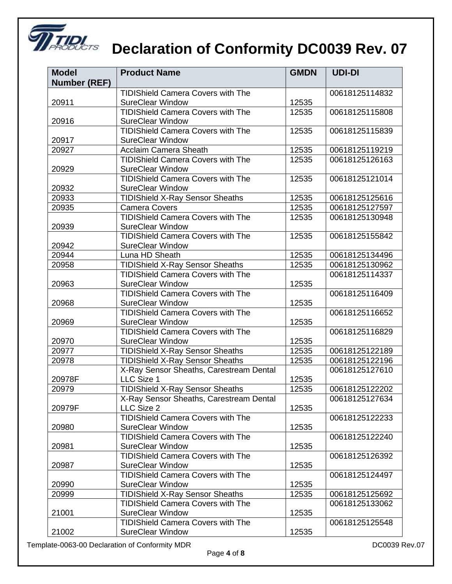

### **THE Declaration of Conformity DC0039 Rev. 07**

| <b>Model</b>        | <b>Product Name</b>                                                 | <b>GMDN</b> | <b>UDI-DI</b>  |
|---------------------|---------------------------------------------------------------------|-------------|----------------|
| <b>Number (REF)</b> |                                                                     |             |                |
|                     | <b>TIDIShield Camera Covers with The</b>                            |             | 00618125114832 |
| 20911               | <b>SureClear Window</b>                                             | 12535       |                |
|                     | <b>TIDIShield Camera Covers with The</b>                            | 12535       | 00618125115808 |
| 20916               | <b>SureClear Window</b>                                             |             |                |
|                     | <b>TIDIShield Camera Covers with The</b>                            | 12535       | 00618125115839 |
| 20917               | <b>SureClear Window</b>                                             |             |                |
| 20927               | Acclaim Camera Sheath                                               | 12535       | 00618125119219 |
|                     | TIDIShield Camera Covers with The                                   | 12535       | 00618125126163 |
| 20929               | <b>SureClear Window</b>                                             |             |                |
|                     | <b>TIDIShield Camera Covers with The</b>                            | 12535       | 00618125121014 |
| 20932               | <b>SureClear Window</b>                                             |             |                |
| 20933               | <b>TIDIShield X-Ray Sensor Sheaths</b>                              | 12535       | 00618125125616 |
| 20935               | <b>Camera Covers</b>                                                | 12535       | 00618125127597 |
|                     | <b>TIDIShield Camera Covers with The</b>                            | 12535       | 00618125130948 |
| 20939               | <b>SureClear Window</b>                                             |             |                |
|                     | <b>TIDIShield Camera Covers with The</b>                            | 12535       | 00618125155842 |
| 20942               | <b>SureClear Window</b>                                             |             |                |
| 20944               | Luna HD Sheath                                                      | 12535       | 00618125134496 |
| 20958               | <b>TIDIShield X-Ray Sensor Sheaths</b>                              | 12535       | 00618125130962 |
|                     | <b>TIDIShield Camera Covers with The</b>                            |             | 00618125114337 |
| 20963               | <b>SureClear Window</b>                                             | 12535       |                |
|                     | <b>TIDIShield Camera Covers with The</b>                            |             | 00618125116409 |
| 20968               | <b>SureClear Window</b><br><b>TIDIShield Camera Covers with The</b> | 12535       | 00618125116652 |
| 20969               | <b>SureClear Window</b>                                             | 12535       |                |
|                     | <b>TIDIShield Camera Covers with The</b>                            |             | 00618125116829 |
| 20970               | <b>SureClear Window</b>                                             | 12535       |                |
| 20977               | <b>TIDIShield X-Ray Sensor Sheaths</b>                              | 12535       | 00618125122189 |
| 20978               | <b>TIDIShield X-Ray Sensor Sheaths</b>                              | 12535       | 00618125122196 |
|                     | X-Ray Sensor Sheaths, Carestream Dental                             |             | 00618125127610 |
| 20978F              | LLC Size 1                                                          | 12535       |                |
| 20979               | <b>TIDIShield X-Ray Sensor Sheaths</b>                              | 12535       | 00618125122202 |
|                     | X-Ray Sensor Sheaths, Carestream Dental                             |             | 00618125127634 |
| 20979F              | LLC Size 2                                                          | 12535       |                |
|                     | <b>TIDIShield Camera Covers with The</b>                            |             | 00618125122233 |
| 20980               | <b>SureClear Window</b>                                             | 12535       |                |
|                     | <b>TIDIShield Camera Covers with The</b>                            |             | 00618125122240 |
| 20981               | <b>SureClear Window</b>                                             | 12535       |                |
|                     | <b>TIDIShield Camera Covers with The</b>                            |             | 00618125126392 |
| 20987               | <b>SureClear Window</b>                                             | 12535       |                |
|                     | <b>TIDIShield Camera Covers with The</b>                            |             | 00618125124497 |
| 20990               | <b>SureClear Window</b>                                             | 12535       |                |
| 20999               | <b>TIDIShield X-Ray Sensor Sheaths</b>                              | 12535       | 00618125125692 |
|                     | <b>TIDIShield Camera Covers with The</b>                            |             | 00618125133062 |
| 21001               | <b>SureClear Window</b>                                             | 12535       |                |
|                     | <b>TIDIShield Camera Covers with The</b>                            |             | 00618125125548 |
| 21002               | <b>SureClear Window</b>                                             | 12535       |                |

Template-0063-00 Declaration of Conformity MDR deviation of Conformity MDR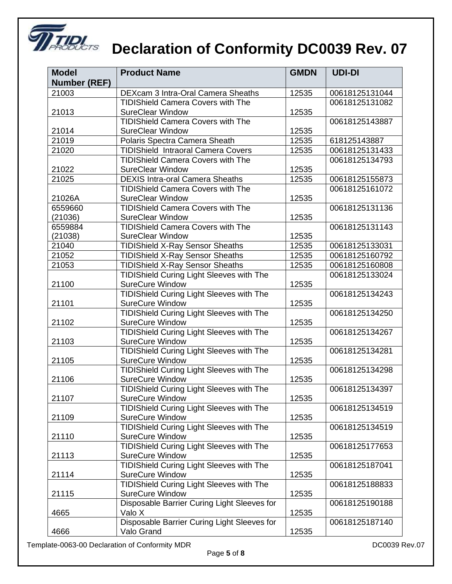

# **THE REVERTS** Declaration of Conformity DC0039 Rev. 07

| <b>Model</b>        | <b>Product Name</b>                             | <b>GMDN</b> | <b>UDI-DI</b>  |
|---------------------|-------------------------------------------------|-------------|----------------|
| <b>Number (REF)</b> |                                                 |             |                |
| 21003               | DEXcam 3 Intra-Oral Camera Sheaths              | 12535       | 00618125131044 |
|                     | <b>TIDIShield Camera Covers with The</b>        |             | 00618125131082 |
| 21013               | <b>SureClear Window</b>                         | 12535       |                |
|                     | <b>TIDIShield Camera Covers with The</b>        |             | 00618125143887 |
| 21014               | <b>SureClear Window</b>                         | 12535       |                |
| 21019               | Polaris Spectra Camera Sheath                   | 12535       | 618125143887   |
| 21020               | <b>TIDIShield Intraoral Camera Covers</b>       | 12535       | 00618125131433 |
|                     | <b>TIDIShield Camera Covers with The</b>        |             | 00618125134793 |
| 21022               | <b>SureClear Window</b>                         | 12535       |                |
| 21025               | <b>DEXIS Intra-oral Camera Sheaths</b>          | 12535       | 00618125155873 |
|                     | <b>TIDIShield Camera Covers with The</b>        |             | 00618125161072 |
| 21026A              | <b>SureClear Window</b>                         | 12535       |                |
| 6559660             | <b>TIDIShield Camera Covers with The</b>        |             | 00618125131136 |
| (21036)             | <b>SureClear Window</b>                         | 12535       |                |
| 6559884             | <b>TIDIShield Camera Covers with The</b>        |             | 00618125131143 |
| (21038)             | <b>SureClear Window</b>                         | 12535       |                |
| 21040               | <b>TIDIShield X-Ray Sensor Sheaths</b>          | 12535       | 00618125133031 |
| 21052               | <b>TIDIShield X-Ray Sensor Sheaths</b>          | 12535       | 00618125160792 |
| 21053               | <b>TIDIShield X-Ray Sensor Sheaths</b>          | 12535       | 00618125160808 |
|                     | <b>TIDIShield Curing Light Sleeves with The</b> |             | 00618125133024 |
| 21100               | <b>SureCure Window</b>                          | 12535       |                |
|                     | <b>TIDIShield Curing Light Sleeves with The</b> |             | 00618125134243 |
| 21101               | <b>SureCure Window</b>                          | 12535       |                |
|                     | <b>TIDIShield Curing Light Sleeves with The</b> |             | 00618125134250 |
| 21102               | <b>SureCure Window</b>                          | 12535       |                |
|                     | TIDIShield Curing Light Sleeves with The        |             | 00618125134267 |
| 21103               | <b>SureCure Window</b>                          | 12535       |                |
|                     | <b>TIDIShield Curing Light Sleeves with The</b> |             | 00618125134281 |
| 21105               | <b>SureCure Window</b>                          | 12535       |                |
|                     | TIDIShield Curing Light Sleeves with The        |             | 00618125134298 |
| 21106               | <b>SureCure Window</b>                          | 12535       |                |
|                     | TIDIShield Curing Light Sleeves with The        |             | 00618125134397 |
| 21107               | <b>SureCure Window</b>                          | 12535       |                |
|                     | TIDIShield Curing Light Sleeves with The        |             | 00618125134519 |
| 21109               | <b>SureCure Window</b>                          | 12535       |                |
|                     | <b>TIDIShield Curing Light Sleeves with The</b> |             | 00618125134519 |
| 21110               | <b>SureCure Window</b>                          | 12535       |                |
|                     | <b>TIDIShield Curing Light Sleeves with The</b> |             | 00618125177653 |
| 21113               | <b>SureCure Window</b>                          | 12535       |                |
|                     | <b>TIDIShield Curing Light Sleeves with The</b> |             | 00618125187041 |
| 21114               | <b>SureCure Window</b>                          | 12535       |                |
|                     | <b>TIDIShield Curing Light Sleeves with The</b> |             | 00618125188833 |
| 21115               | <b>SureCure Window</b>                          | 12535       |                |
|                     | Disposable Barrier Curing Light Sleeves for     |             | 00618125190188 |
| 4665                | Valo X                                          | 12535       |                |
|                     | Disposable Barrier Curing Light Sleeves for     |             | 00618125187140 |
| 4666                | Valo Grand                                      | 12535       |                |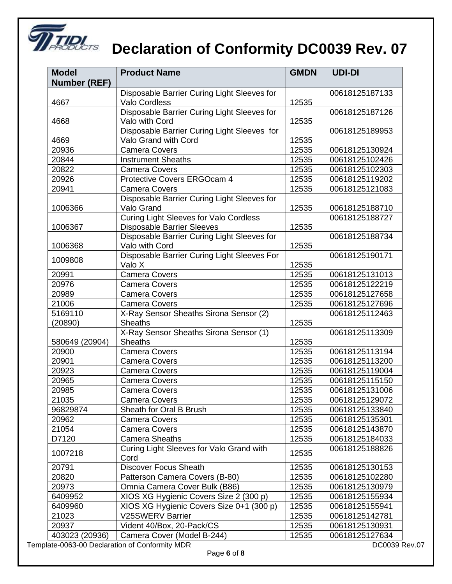

# **THE REVERTS** Declaration of Conformity DC0039 Rev. 07

| <b>Model</b>        | <b>Product Name</b>                              |                         | <b>UDI-DI</b>  |
|---------------------|--------------------------------------------------|-------------------------|----------------|
| <b>Number (REF)</b> |                                                  |                         |                |
|                     | Disposable Barrier Curing Light Sleeves for      |                         | 00618125187133 |
| 4667                | <b>Valo Cordless</b>                             | 12535                   |                |
|                     | Disposable Barrier Curing Light Sleeves for      |                         | 00618125187126 |
| 4668                | Valo with Cord                                   | 12535                   |                |
|                     | Disposable Barrier Curing Light Sleeves for      |                         | 00618125189953 |
| 4669                | Valo Grand with Cord<br>12535                    |                         |                |
| 20936               | <b>Camera Covers</b>                             | 12535                   | 00618125130924 |
| 20844               | <b>Instrument Sheaths</b>                        | 12535                   | 00618125102426 |
| 20822               | <b>Camera Covers</b>                             | 12535                   | 00618125102303 |
| 20926               | Protective Covers ERGOcam 4                      | 12535                   | 00618125119202 |
| 20941               | <b>Camera Covers</b>                             | 12535                   | 00618125121083 |
|                     | Disposable Barrier Curing Light Sleeves for      |                         |                |
| 1006366             | Valo Grand                                       | 12535                   | 00618125188710 |
|                     | <b>Curing Light Sleeves for Valo Cordless</b>    |                         | 00618125188727 |
| 1006367             | <b>Disposable Barrier Sleeves</b>                | 12535                   |                |
|                     | Disposable Barrier Curing Light Sleeves for      |                         | 00618125188734 |
| 1006368             | Valo with Cord                                   | 12535                   |                |
| 1009808             | Disposable Barrier Curing Light Sleeves For      |                         | 00618125190171 |
|                     | Valo X                                           | 12535                   |                |
| 20991               | <b>Camera Covers</b>                             | 12535                   | 00618125131013 |
| 20976               | <b>Camera Covers</b>                             | 12535                   | 00618125122219 |
| 20989               | <b>Camera Covers</b>                             | 12535                   | 00618125127658 |
| 21006               | <b>Camera Covers</b>                             | 12535                   | 00618125127696 |
| 5169110             | X-Ray Sensor Sheaths Sirona Sensor (2)           |                         | 00618125112463 |
| (20890)             | <b>Sheaths</b>                                   | 12535                   |                |
|                     | X-Ray Sensor Sheaths Sirona Sensor (1)           |                         | 00618125113309 |
| 580649 (20904)      | <b>Sheaths</b>                                   | 12535                   |                |
| 20900               | <b>Camera Covers</b>                             | 12535                   | 00618125113194 |
| 20901               | <b>Camera Covers</b>                             | 12535                   | 00618125113200 |
| 20923               | <b>Camera Covers</b>                             | 12535                   | 00618125119004 |
| 20965               | <b>Camera Covers</b>                             | 12535                   | 00618125115150 |
| 20985               | <b>Camera Covers</b>                             | 12535                   | 00618125131006 |
| 21035               | <b>Camera Covers</b>                             | 12535                   | 00618125129072 |
| 96829874            | Sheath for Oral B Brush                          | 12535                   | 00618125133840 |
| 20962               | <b>Camera Covers</b>                             | 12535                   | 00618125135301 |
| 21054               | <b>Camera Covers</b>                             | 12535                   | 00618125143870 |
| D7120               | <b>Camera Sheaths</b>                            | 12535                   | 00618125184033 |
| 1007218             | Curing Light Sleeves for Valo Grand with<br>Cord | 12535                   | 00618125188826 |
| 20791               | <b>Discover Focus Sheath</b>                     | 12535                   | 00618125130153 |
| 20820               | Patterson Camera Covers (B-80)                   | 12535                   | 00618125102280 |
| 20973               | Omnia Camera Cover Bulk (B86)                    | 12535                   | 00618125130979 |
| 6409952             | XIOS XG Hygienic Covers Size 2 (300 p)           | 12535                   | 00618125155934 |
| 6409960             | XIOS XG Hygienic Covers Size 0+1 (300 p)         | 12535                   | 00618125155941 |
| 21023               | <b>V25SWERV Barrier</b>                          | 12535                   | 00618125142781 |
| 20937               | Vident 40/Box, 20-Pack/CS                        | 12535                   | 00618125130931 |
| 403023 (20936)      | Camera Cover (Model B-244)                       | 12535<br>00618125127634 |                |

Template-0063-00 Declaration of Conformity MDR deviation of Conformity MDR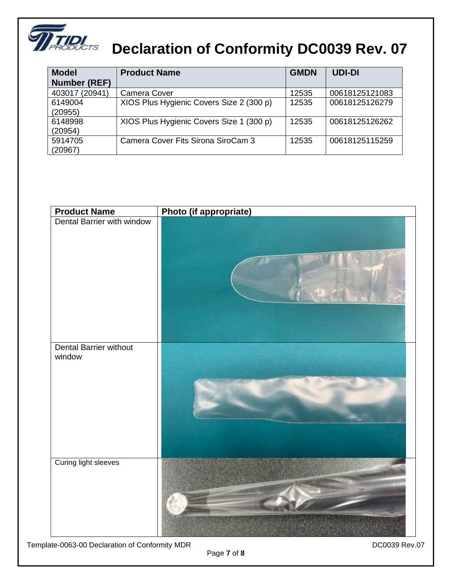

### **THE Declaration of Conformity DC0039 Rev. 07**

| <b>Model</b>        | <b>Product Name</b>                      | <b>GMDN</b> | <b>UDI-DI</b>  |
|---------------------|------------------------------------------|-------------|----------------|
| <b>Number (REF)</b> |                                          |             |                |
| 403017 (20941)      | Camera Cover                             | 12535       | 00618125121083 |
| 6149004             | XIOS Plus Hygienic Covers Size 2 (300 p) | 12535       | 00618125126279 |
| (20955)             |                                          |             |                |
| 6148998             | XIOS Plus Hygienic Covers Size 1 (300 p) | 12535       | 00618125126262 |
| (20954)             |                                          |             |                |
| 5914705             | Camera Cover Fits Sirona SiroCam 3       | 12535       | 00618125115259 |
| (20967)             |                                          |             |                |

| <b>Product Name</b>              | Photo (if appropriate) |
|----------------------------------|------------------------|
| Dental Barrier with window       |                        |
| Dental Barrier without<br>window |                        |
| Curing light sleeves             |                        |

Template-0063-00 Declaration of Conformity MDR deviation of Conformity MDR

Page **7** of **8**